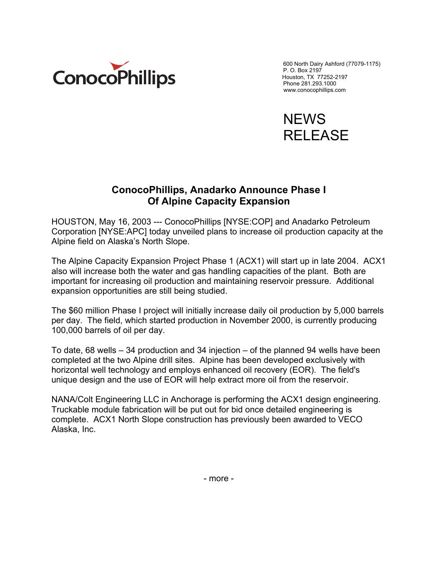

600 North Dairy Ashford (77079-1175) P. O. Box 2197 Phone 281.293.1000 www.conocophillips.com



## **ConocoPhillips, Anadarko Announce Phase I Of Alpine Capacity Expansion**

HOUSTON, May 16, 2003 --- ConocoPhillips [NYSE:COP] and Anadarko Petroleum Corporation [NYSE:APC] today unveiled plans to increase oil production capacity at the Alpine field on Alaska's North Slope.

The Alpine Capacity Expansion Project Phase 1 (ACX1) will start up in late 2004. ACX1 also will increase both the water and gas handling capacities of the plant. Both are important for increasing oil production and maintaining reservoir pressure. Additional expansion opportunities are still being studied.

The \$60 million Phase I project will initially increase daily oil production by 5,000 barrels per day. The field, which started production in November 2000, is currently producing 100,000 barrels of oil per day.

To date, 68 wells – 34 production and 34 injection – of the planned 94 wells have been completed at the two Alpine drill sites. Alpine has been developed exclusively with horizontal well technology and employs enhanced oil recovery (EOR). The field's unique design and the use of EOR will help extract more oil from the reservoir.

NANA/Colt Engineering LLC in Anchorage is performing the ACX1 design engineering. Truckable module fabrication will be put out for bid once detailed engineering is complete. ACX1 North Slope construction has previously been awarded to VECO Alaska, Inc.

- more -